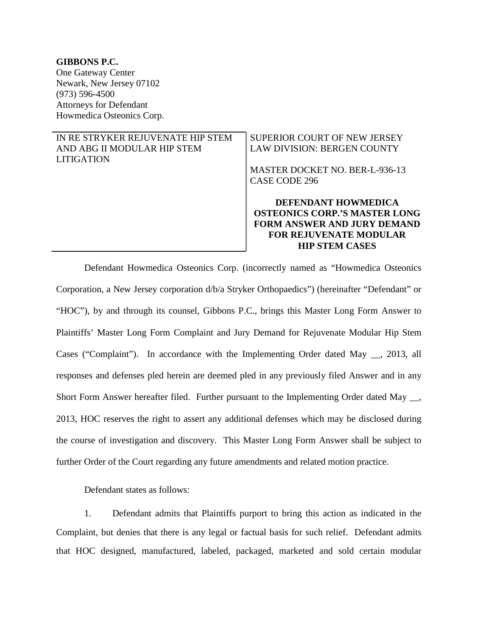**GIBBONS P.C.**  One Gateway Center Newark, New Jersey 07102 (973) 596-4500 Attorneys for Defendant Howmedica Osteonics Corp.

# IN RE STRYKER REJUVENATE HIP STEM AND ABG II MODULAR HIP STEM LITIGATION

# SUPERIOR COURT OF NEW JERSEY LAW DIVISION: BERGEN COUNTY

MASTER DOCKET NO. BER-L-936-13 CASE CODE 296

**DEFENDANT HOWMEDICA OSTEONICS CORP.'S MASTER LONG FORM ANSWER AND JURY DEMAND FOR REJUVENATE MODULAR HIP STEM CASES** 

Defendant Howmedica Osteonics Corp. (incorrectly named as "Howmedica Osteonics Corporation, a New Jersey corporation d/b/a Stryker Orthopaedics") (hereinafter "Defendant" or "HOC"), by and through its counsel, Gibbons P.C., brings this Master Long Form Answer to Plaintiffs' Master Long Form Complaint and Jury Demand for Rejuvenate Modular Hip Stem Cases ("Complaint"). In accordance with the Implementing Order dated May \_\_, 2013, all responses and defenses pled herein are deemed pled in any previously filed Answer and in any Short Form Answer hereafter filed. Further pursuant to the Implementing Order dated May \_\_, 2013, HOC reserves the right to assert any additional defenses which may be disclosed during the course of investigation and discovery. This Master Long Form Answer shall be subject to further Order of the Court regarding any future amendments and related motion practice.

Defendant states as follows:

1. Defendant admits that Plaintiffs purport to bring this action as indicated in the Complaint, but denies that there is any legal or factual basis for such relief. Defendant admits that HOC designed, manufactured, labeled, packaged, marketed and sold certain modular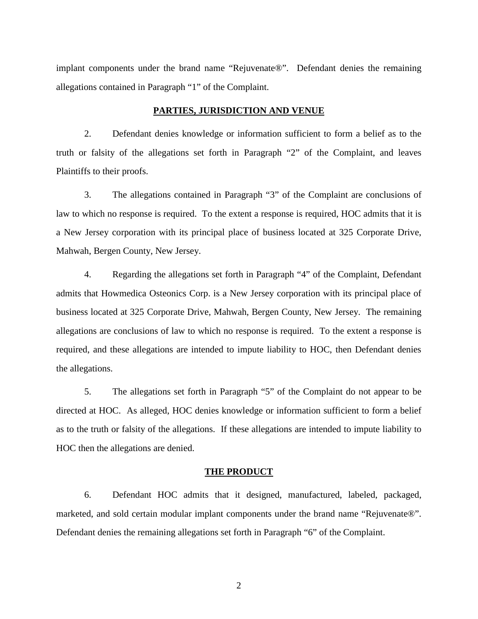implant components under the brand name "Rejuvenate®". Defendant denies the remaining allegations contained in Paragraph "1" of the Complaint.

### **PARTIES, JURISDICTION AND VENUE**

2. Defendant denies knowledge or information sufficient to form a belief as to the truth or falsity of the allegations set forth in Paragraph "2" of the Complaint, and leaves Plaintiffs to their proofs.

3. The allegations contained in Paragraph "3" of the Complaint are conclusions of law to which no response is required. To the extent a response is required, HOC admits that it is a New Jersey corporation with its principal place of business located at 325 Corporate Drive, Mahwah, Bergen County, New Jersey.

4. Regarding the allegations set forth in Paragraph "4" of the Complaint, Defendant admits that Howmedica Osteonics Corp. is a New Jersey corporation with its principal place of business located at 325 Corporate Drive, Mahwah, Bergen County, New Jersey. The remaining allegations are conclusions of law to which no response is required. To the extent a response is required, and these allegations are intended to impute liability to HOC, then Defendant denies the allegations.

5. The allegations set forth in Paragraph "5" of the Complaint do not appear to be directed at HOC. As alleged, HOC denies knowledge or information sufficient to form a belief as to the truth or falsity of the allegations. If these allegations are intended to impute liability to HOC then the allegations are denied.

#### **THE PRODUCT**

6. Defendant HOC admits that it designed, manufactured, labeled, packaged, marketed, and sold certain modular implant components under the brand name "Rejuvenate®". Defendant denies the remaining allegations set forth in Paragraph "6" of the Complaint.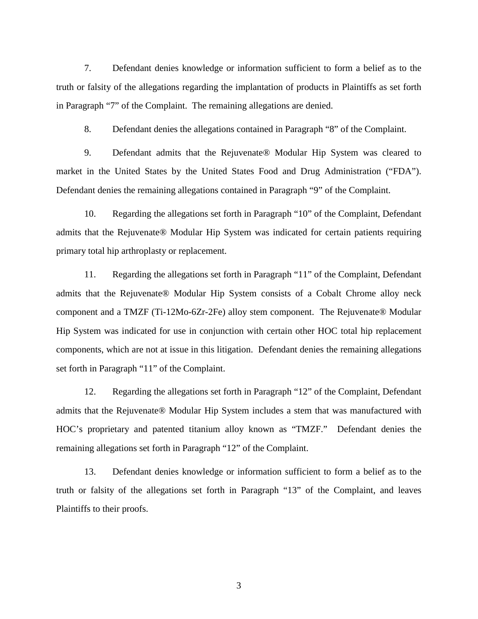7. Defendant denies knowledge or information sufficient to form a belief as to the truth or falsity of the allegations regarding the implantation of products in Plaintiffs as set forth in Paragraph "7" of the Complaint. The remaining allegations are denied.

8. Defendant denies the allegations contained in Paragraph "8" of the Complaint.

9. Defendant admits that the Rejuvenate® Modular Hip System was cleared to market in the United States by the United States Food and Drug Administration ("FDA"). Defendant denies the remaining allegations contained in Paragraph "9" of the Complaint.

10. Regarding the allegations set forth in Paragraph "10" of the Complaint, Defendant admits that the Rejuvenate® Modular Hip System was indicated for certain patients requiring primary total hip arthroplasty or replacement.

11. Regarding the allegations set forth in Paragraph "11" of the Complaint, Defendant admits that the Rejuvenate® Modular Hip System consists of a Cobalt Chrome alloy neck component and a TMZF (Ti-12Mo-6Zr-2Fe) alloy stem component. The Rejuvenate® Modular Hip System was indicated for use in conjunction with certain other HOC total hip replacement components, which are not at issue in this litigation. Defendant denies the remaining allegations set forth in Paragraph "11" of the Complaint.

12. Regarding the allegations set forth in Paragraph "12" of the Complaint, Defendant admits that the Rejuvenate® Modular Hip System includes a stem that was manufactured with HOC's proprietary and patented titanium alloy known as "TMZF." Defendant denies the remaining allegations set forth in Paragraph "12" of the Complaint.

13. Defendant denies knowledge or information sufficient to form a belief as to the truth or falsity of the allegations set forth in Paragraph "13" of the Complaint, and leaves Plaintiffs to their proofs.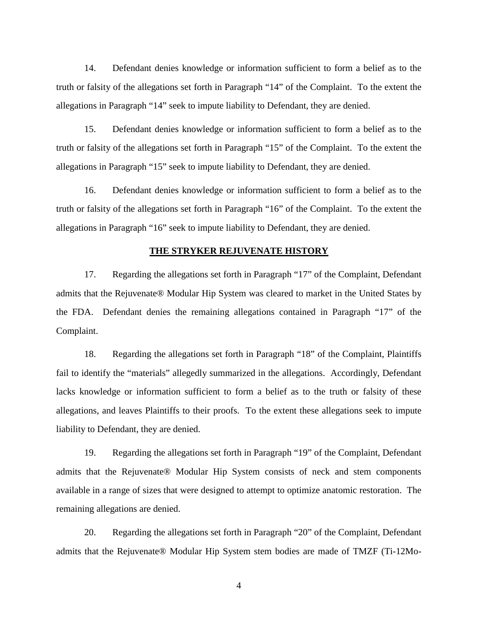14. Defendant denies knowledge or information sufficient to form a belief as to the truth or falsity of the allegations set forth in Paragraph "14" of the Complaint. To the extent the allegations in Paragraph "14" seek to impute liability to Defendant, they are denied.

15. Defendant denies knowledge or information sufficient to form a belief as to the truth or falsity of the allegations set forth in Paragraph "15" of the Complaint. To the extent the allegations in Paragraph "15" seek to impute liability to Defendant, they are denied.

16. Defendant denies knowledge or information sufficient to form a belief as to the truth or falsity of the allegations set forth in Paragraph "16" of the Complaint. To the extent the allegations in Paragraph "16" seek to impute liability to Defendant, they are denied.

### **THE STRYKER REJUVENATE HISTORY**

17. Regarding the allegations set forth in Paragraph "17" of the Complaint, Defendant admits that the Rejuvenate® Modular Hip System was cleared to market in the United States by the FDA. Defendant denies the remaining allegations contained in Paragraph "17" of the Complaint.

18. Regarding the allegations set forth in Paragraph "18" of the Complaint, Plaintiffs fail to identify the "materials" allegedly summarized in the allegations. Accordingly, Defendant lacks knowledge or information sufficient to form a belief as to the truth or falsity of these allegations, and leaves Plaintiffs to their proofs. To the extent these allegations seek to impute liability to Defendant, they are denied.

19. Regarding the allegations set forth in Paragraph "19" of the Complaint, Defendant admits that the Rejuvenate® Modular Hip System consists of neck and stem components available in a range of sizes that were designed to attempt to optimize anatomic restoration. The remaining allegations are denied.

20. Regarding the allegations set forth in Paragraph "20" of the Complaint, Defendant admits that the Rejuvenate® Modular Hip System stem bodies are made of TMZF (Ti-12Mo-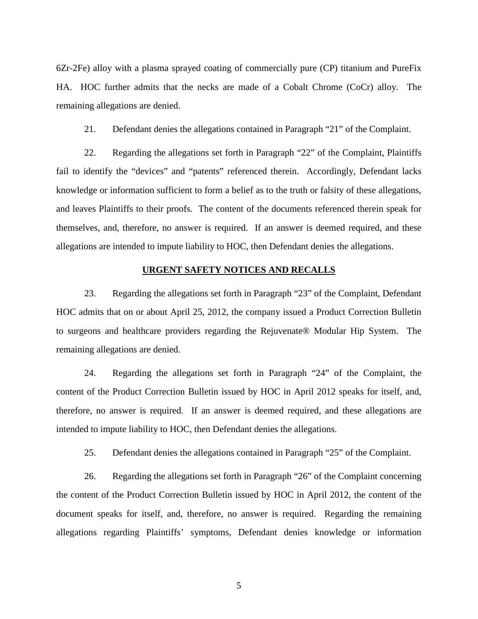6Zr-2Fe) alloy with a plasma sprayed coating of commercially pure (CP) titanium and PureFix HA. HOC further admits that the necks are made of a Cobalt Chrome (CoCr) alloy. The remaining allegations are denied.

21. Defendant denies the allegations contained in Paragraph "21" of the Complaint.

22. Regarding the allegations set forth in Paragraph "22" of the Complaint, Plaintiffs fail to identify the "devices" and "patents" referenced therein. Accordingly, Defendant lacks knowledge or information sufficient to form a belief as to the truth or falsity of these allegations, and leaves Plaintiffs to their proofs. The content of the documents referenced therein speak for themselves, and, therefore, no answer is required. If an answer is deemed required, and these allegations are intended to impute liability to HOC, then Defendant denies the allegations.

### **URGENT SAFETY NOTICES AND RECALLS**

23. Regarding the allegations set forth in Paragraph "23" of the Complaint, Defendant HOC admits that on or about April 25, 2012, the company issued a Product Correction Bulletin to surgeons and healthcare providers regarding the Rejuvenate® Modular Hip System. The remaining allegations are denied.

24. Regarding the allegations set forth in Paragraph "24" of the Complaint, the content of the Product Correction Bulletin issued by HOC in April 2012 speaks for itself, and, therefore, no answer is required. If an answer is deemed required, and these allegations are intended to impute liability to HOC, then Defendant denies the allegations.

25. Defendant denies the allegations contained in Paragraph "25" of the Complaint.

26. Regarding the allegations set forth in Paragraph "26" of the Complaint concerning the content of the Product Correction Bulletin issued by HOC in April 2012, the content of the document speaks for itself, and, therefore, no answer is required. Regarding the remaining allegations regarding Plaintiffs' symptoms, Defendant denies knowledge or information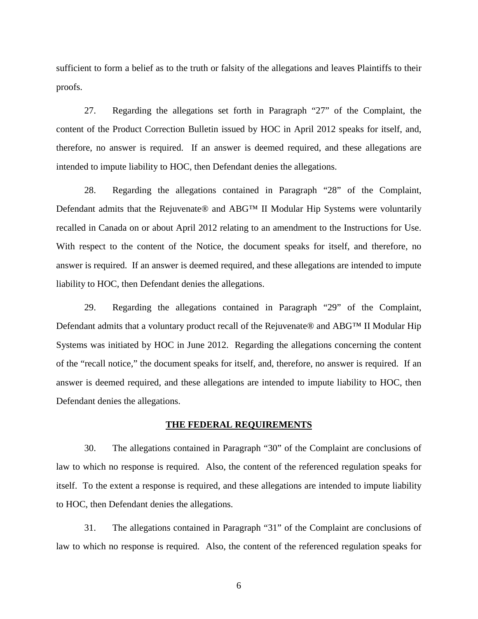sufficient to form a belief as to the truth or falsity of the allegations and leaves Plaintiffs to their proofs.

27. Regarding the allegations set forth in Paragraph "27" of the Complaint, the content of the Product Correction Bulletin issued by HOC in April 2012 speaks for itself, and, therefore, no answer is required. If an answer is deemed required, and these allegations are intended to impute liability to HOC, then Defendant denies the allegations.

28. Regarding the allegations contained in Paragraph "28" of the Complaint, Defendant admits that the Rejuvenate® and ABG<sup>™</sup> II Modular Hip Systems were voluntarily recalled in Canada on or about April 2012 relating to an amendment to the Instructions for Use. With respect to the content of the Notice, the document speaks for itself, and therefore, no answer is required. If an answer is deemed required, and these allegations are intended to impute liability to HOC, then Defendant denies the allegations.

29. Regarding the allegations contained in Paragraph "29" of the Complaint, Defendant admits that a voluntary product recall of the Rejuvenate® and ABG™ II Modular Hip Systems was initiated by HOC in June 2012. Regarding the allegations concerning the content of the "recall notice," the document speaks for itself, and, therefore, no answer is required. If an answer is deemed required, and these allegations are intended to impute liability to HOC, then Defendant denies the allegations.

### **THE FEDERAL REQUIREMENTS**

30. The allegations contained in Paragraph "30" of the Complaint are conclusions of law to which no response is required. Also, the content of the referenced regulation speaks for itself. To the extent a response is required, and these allegations are intended to impute liability to HOC, then Defendant denies the allegations.

31. The allegations contained in Paragraph "31" of the Complaint are conclusions of law to which no response is required. Also, the content of the referenced regulation speaks for

 $\sim$  6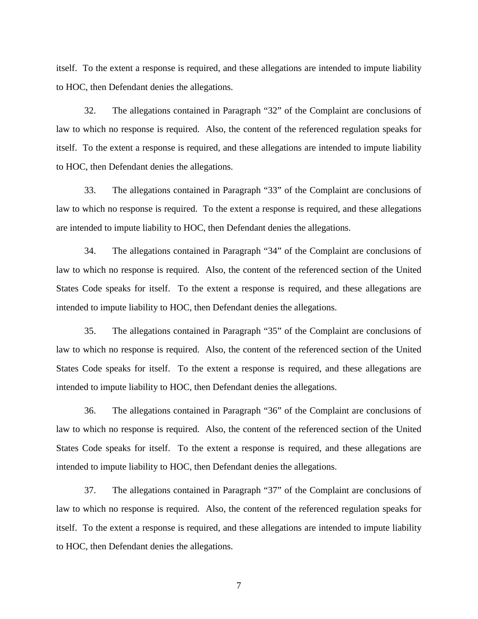itself. To the extent a response is required, and these allegations are intended to impute liability to HOC, then Defendant denies the allegations.

32. The allegations contained in Paragraph "32" of the Complaint are conclusions of law to which no response is required. Also, the content of the referenced regulation speaks for itself. To the extent a response is required, and these allegations are intended to impute liability to HOC, then Defendant denies the allegations.

33. The allegations contained in Paragraph "33" of the Complaint are conclusions of law to which no response is required. To the extent a response is required, and these allegations are intended to impute liability to HOC, then Defendant denies the allegations.

34. The allegations contained in Paragraph "34" of the Complaint are conclusions of law to which no response is required. Also, the content of the referenced section of the United States Code speaks for itself. To the extent a response is required, and these allegations are intended to impute liability to HOC, then Defendant denies the allegations.

35. The allegations contained in Paragraph "35" of the Complaint are conclusions of law to which no response is required. Also, the content of the referenced section of the United States Code speaks for itself. To the extent a response is required, and these allegations are intended to impute liability to HOC, then Defendant denies the allegations.

36. The allegations contained in Paragraph "36" of the Complaint are conclusions of law to which no response is required. Also, the content of the referenced section of the United States Code speaks for itself. To the extent a response is required, and these allegations are intended to impute liability to HOC, then Defendant denies the allegations.

37. The allegations contained in Paragraph "37" of the Complaint are conclusions of law to which no response is required. Also, the content of the referenced regulation speaks for itself. To the extent a response is required, and these allegations are intended to impute liability to HOC, then Defendant denies the allegations.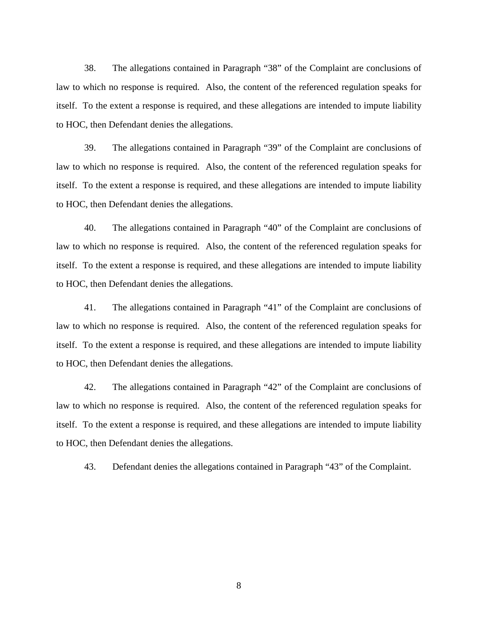38. The allegations contained in Paragraph "38" of the Complaint are conclusions of law to which no response is required. Also, the content of the referenced regulation speaks for itself. To the extent a response is required, and these allegations are intended to impute liability to HOC, then Defendant denies the allegations.

39. The allegations contained in Paragraph "39" of the Complaint are conclusions of law to which no response is required. Also, the content of the referenced regulation speaks for itself. To the extent a response is required, and these allegations are intended to impute liability to HOC, then Defendant denies the allegations.

40. The allegations contained in Paragraph "40" of the Complaint are conclusions of law to which no response is required. Also, the content of the referenced regulation speaks for itself. To the extent a response is required, and these allegations are intended to impute liability to HOC, then Defendant denies the allegations.

41. The allegations contained in Paragraph "41" of the Complaint are conclusions of law to which no response is required. Also, the content of the referenced regulation speaks for itself. To the extent a response is required, and these allegations are intended to impute liability to HOC, then Defendant denies the allegations.

42. The allegations contained in Paragraph "42" of the Complaint are conclusions of law to which no response is required. Also, the content of the referenced regulation speaks for itself. To the extent a response is required, and these allegations are intended to impute liability to HOC, then Defendant denies the allegations.

43. Defendant denies the allegations contained in Paragraph "43" of the Complaint.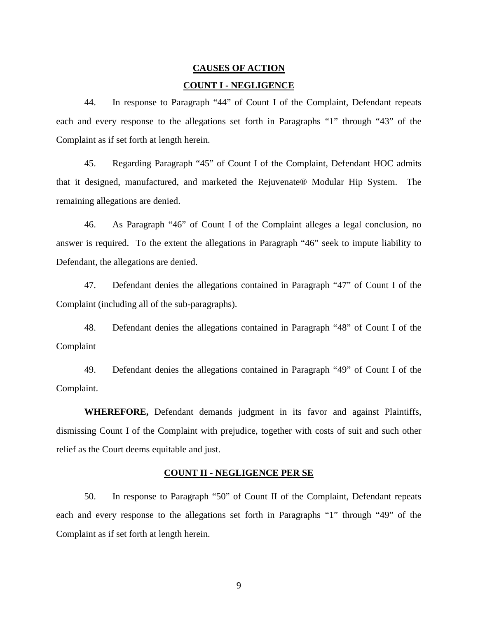# **CAUSES OF ACTION COUNT I - NEGLIGENCE**

44. In response to Paragraph "44" of Count I of the Complaint, Defendant repeats each and every response to the allegations set forth in Paragraphs "1" through "43" of the Complaint as if set forth at length herein.

45. Regarding Paragraph "45" of Count I of the Complaint, Defendant HOC admits that it designed, manufactured, and marketed the Rejuvenate® Modular Hip System. The remaining allegations are denied.

46. As Paragraph "46" of Count I of the Complaint alleges a legal conclusion, no answer is required. To the extent the allegations in Paragraph "46" seek to impute liability to Defendant, the allegations are denied.

47. Defendant denies the allegations contained in Paragraph "47" of Count I of the Complaint (including all of the sub-paragraphs).

48. Defendant denies the allegations contained in Paragraph "48" of Count I of the Complaint

49. Defendant denies the allegations contained in Paragraph "49" of Count I of the Complaint.

**WHEREFORE,** Defendant demands judgment in its favor and against Plaintiffs, dismissing Count I of the Complaint with prejudice, together with costs of suit and such other relief as the Court deems equitable and just.

### **COUNT II - NEGLIGENCE PER SE**

50. In response to Paragraph "50" of Count II of the Complaint, Defendant repeats each and every response to the allegations set forth in Paragraphs "1" through "49" of the Complaint as if set forth at length herein.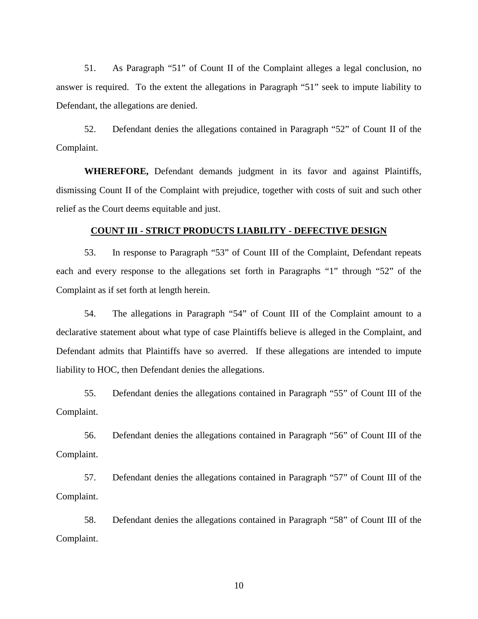51. As Paragraph "51" of Count II of the Complaint alleges a legal conclusion, no answer is required. To the extent the allegations in Paragraph "51" seek to impute liability to Defendant, the allegations are denied.

52. Defendant denies the allegations contained in Paragraph "52" of Count II of the Complaint.

**WHEREFORE,** Defendant demands judgment in its favor and against Plaintiffs, dismissing Count II of the Complaint with prejudice, together with costs of suit and such other relief as the Court deems equitable and just.

### **COUNT III - STRICT PRODUCTS LIABILITY - DEFECTIVE DESIGN**

53. In response to Paragraph "53" of Count III of the Complaint, Defendant repeats each and every response to the allegations set forth in Paragraphs "1" through "52" of the Complaint as if set forth at length herein.

54. The allegations in Paragraph "54" of Count III of the Complaint amount to a declarative statement about what type of case Plaintiffs believe is alleged in the Complaint, and Defendant admits that Plaintiffs have so averred. If these allegations are intended to impute liability to HOC, then Defendant denies the allegations.

55. Defendant denies the allegations contained in Paragraph "55" of Count III of the Complaint.

56. Defendant denies the allegations contained in Paragraph "56" of Count III of the Complaint.

57. Defendant denies the allegations contained in Paragraph "57" of Count III of the Complaint.

58. Defendant denies the allegations contained in Paragraph "58" of Count III of the Complaint.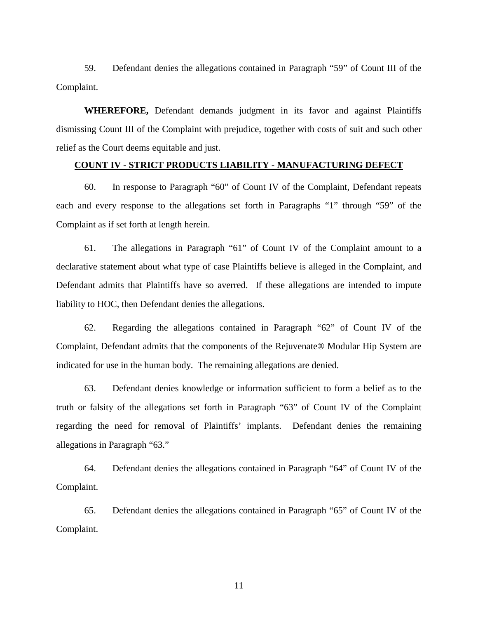59. Defendant denies the allegations contained in Paragraph "59" of Count III of the Complaint.

**WHEREFORE,** Defendant demands judgment in its favor and against Plaintiffs dismissing Count III of the Complaint with prejudice, together with costs of suit and such other relief as the Court deems equitable and just.

### **COUNT IV - STRICT PRODUCTS LIABILITY - MANUFACTURING DEFECT**

60. In response to Paragraph "60" of Count IV of the Complaint, Defendant repeats each and every response to the allegations set forth in Paragraphs "1" through "59" of the Complaint as if set forth at length herein.

61. The allegations in Paragraph "61" of Count IV of the Complaint amount to a declarative statement about what type of case Plaintiffs believe is alleged in the Complaint, and Defendant admits that Plaintiffs have so averred. If these allegations are intended to impute liability to HOC, then Defendant denies the allegations.

62. Regarding the allegations contained in Paragraph "62" of Count IV of the Complaint, Defendant admits that the components of the Rejuvenate® Modular Hip System are indicated for use in the human body. The remaining allegations are denied.

63. Defendant denies knowledge or information sufficient to form a belief as to the truth or falsity of the allegations set forth in Paragraph "63" of Count IV of the Complaint regarding the need for removal of Plaintiffs' implants. Defendant denies the remaining allegations in Paragraph "63."

64. Defendant denies the allegations contained in Paragraph "64" of Count IV of the Complaint.

65. Defendant denies the allegations contained in Paragraph "65" of Count IV of the Complaint.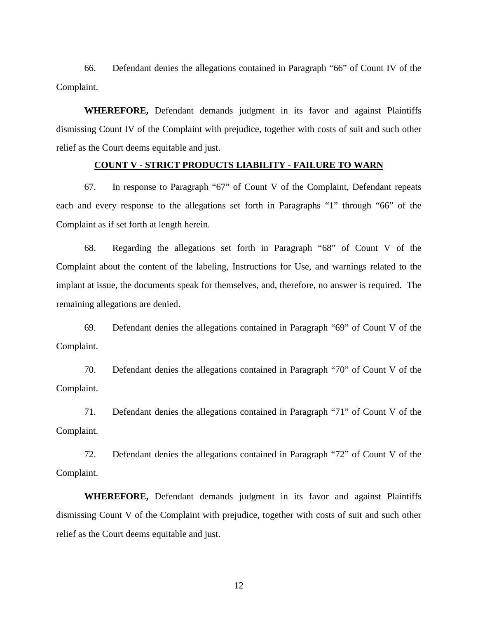66. Defendant denies the allegations contained in Paragraph "66" of Count IV of the Complaint.

**WHEREFORE,** Defendant demands judgment in its favor and against Plaintiffs dismissing Count IV of the Complaint with prejudice, together with costs of suit and such other relief as the Court deems equitable and just.

#### **COUNT V - STRICT PRODUCTS LIABILITY - FAILURE TO WARN**

67. In response to Paragraph "67" of Count V of the Complaint, Defendant repeats each and every response to the allegations set forth in Paragraphs "1" through "66" of the Complaint as if set forth at length herein.

68. Regarding the allegations set forth in Paragraph "68" of Count V of the Complaint about the content of the labeling, Instructions for Use, and warnings related to the implant at issue, the documents speak for themselves, and, therefore, no answer is required. The remaining allegations are denied.

69. Defendant denies the allegations contained in Paragraph "69" of Count V of the Complaint.

70. Defendant denies the allegations contained in Paragraph "70" of Count V of the Complaint.

71. Defendant denies the allegations contained in Paragraph "71" of Count V of the Complaint.

72. Defendant denies the allegations contained in Paragraph "72" of Count V of the Complaint.

**WHEREFORE,** Defendant demands judgment in its favor and against Plaintiffs dismissing Count V of the Complaint with prejudice, together with costs of suit and such other relief as the Court deems equitable and just.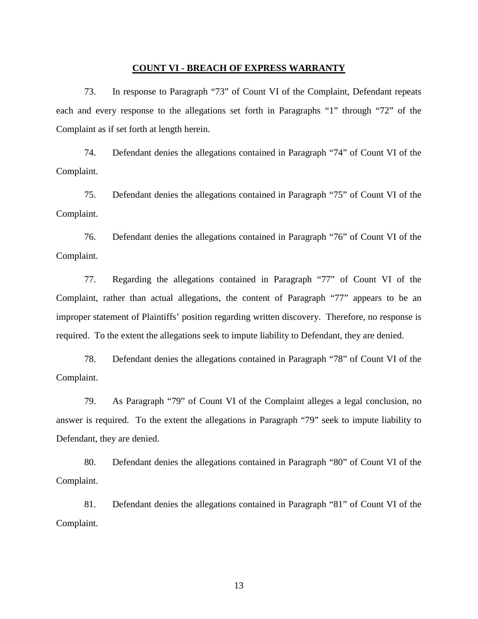### **COUNT VI - BREACH OF EXPRESS WARRANTY**

73. In response to Paragraph "73" of Count VI of the Complaint, Defendant repeats each and every response to the allegations set forth in Paragraphs "1" through "72" of the Complaint as if set forth at length herein.

74. Defendant denies the allegations contained in Paragraph "74" of Count VI of the Complaint.

75. Defendant denies the allegations contained in Paragraph "75" of Count VI of the Complaint.

76. Defendant denies the allegations contained in Paragraph "76" of Count VI of the Complaint.

77. Regarding the allegations contained in Paragraph "77" of Count VI of the Complaint, rather than actual allegations, the content of Paragraph "77" appears to be an improper statement of Plaintiffs' position regarding written discovery. Therefore, no response is required. To the extent the allegations seek to impute liability to Defendant, they are denied.

78. Defendant denies the allegations contained in Paragraph "78" of Count VI of the Complaint.

79. As Paragraph "79" of Count VI of the Complaint alleges a legal conclusion, no answer is required. To the extent the allegations in Paragraph "79" seek to impute liability to Defendant, they are denied.

80. Defendant denies the allegations contained in Paragraph "80" of Count VI of the Complaint.

81. Defendant denies the allegations contained in Paragraph "81" of Count VI of the Complaint.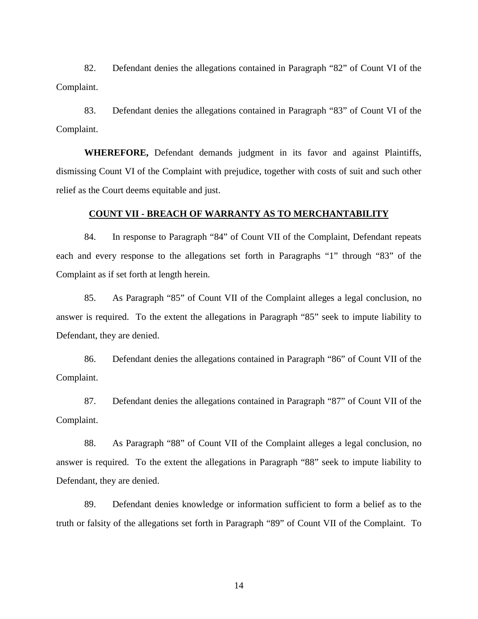82. Defendant denies the allegations contained in Paragraph "82" of Count VI of the Complaint.

83. Defendant denies the allegations contained in Paragraph "83" of Count VI of the Complaint.

**WHEREFORE,** Defendant demands judgment in its favor and against Plaintiffs, dismissing Count VI of the Complaint with prejudice, together with costs of suit and such other relief as the Court deems equitable and just.

### **COUNT VII - BREACH OF WARRANTY AS TO MERCHANTABILITY**

84. In response to Paragraph "84" of Count VII of the Complaint, Defendant repeats each and every response to the allegations set forth in Paragraphs "1" through "83" of the Complaint as if set forth at length herein.

85. As Paragraph "85" of Count VII of the Complaint alleges a legal conclusion, no answer is required. To the extent the allegations in Paragraph "85" seek to impute liability to Defendant, they are denied.

86. Defendant denies the allegations contained in Paragraph "86" of Count VII of the Complaint.

87. Defendant denies the allegations contained in Paragraph "87" of Count VII of the Complaint.

88. As Paragraph "88" of Count VII of the Complaint alleges a legal conclusion, no answer is required. To the extent the allegations in Paragraph "88" seek to impute liability to Defendant, they are denied.

89. Defendant denies knowledge or information sufficient to form a belief as to the truth or falsity of the allegations set forth in Paragraph "89" of Count VII of the Complaint. To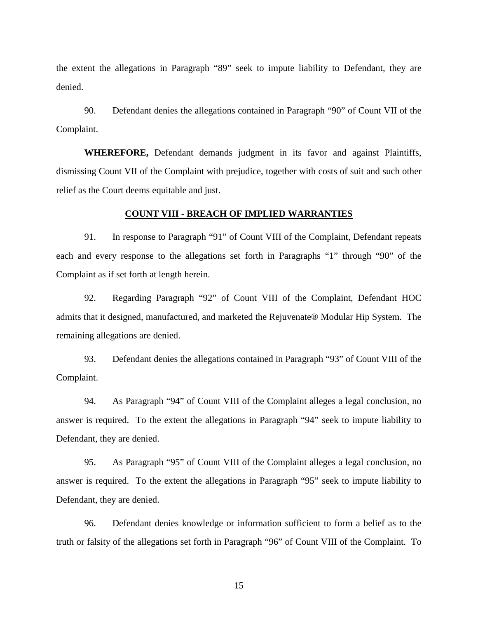the extent the allegations in Paragraph "89" seek to impute liability to Defendant, they are denied.

90. Defendant denies the allegations contained in Paragraph "90" of Count VII of the Complaint.

**WHEREFORE,** Defendant demands judgment in its favor and against Plaintiffs, dismissing Count VII of the Complaint with prejudice, together with costs of suit and such other relief as the Court deems equitable and just.

### **COUNT VIII - BREACH OF IMPLIED WARRANTIES**

91. In response to Paragraph "91" of Count VIII of the Complaint, Defendant repeats each and every response to the allegations set forth in Paragraphs "1" through "90" of the Complaint as if set forth at length herein.

92. Regarding Paragraph "92" of Count VIII of the Complaint, Defendant HOC admits that it designed, manufactured, and marketed the Rejuvenate® Modular Hip System. The remaining allegations are denied.

93. Defendant denies the allegations contained in Paragraph "93" of Count VIII of the Complaint.

94. As Paragraph "94" of Count VIII of the Complaint alleges a legal conclusion, no answer is required. To the extent the allegations in Paragraph "94" seek to impute liability to Defendant, they are denied.

95. As Paragraph "95" of Count VIII of the Complaint alleges a legal conclusion, no answer is required. To the extent the allegations in Paragraph "95" seek to impute liability to Defendant, they are denied.

96. Defendant denies knowledge or information sufficient to form a belief as to the truth or falsity of the allegations set forth in Paragraph "96" of Count VIII of the Complaint. To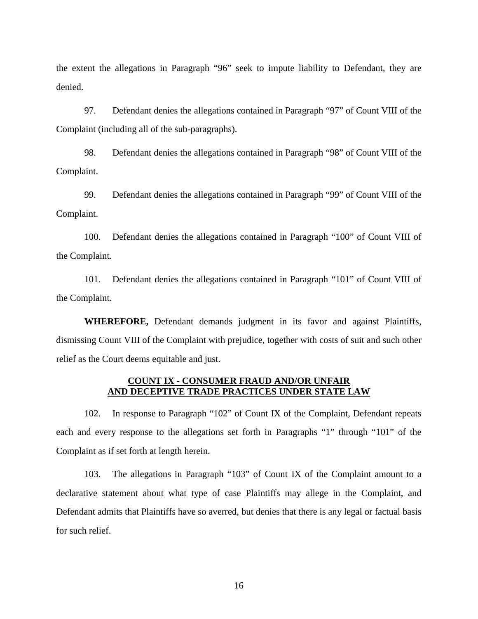the extent the allegations in Paragraph "96" seek to impute liability to Defendant, they are denied.

97. Defendant denies the allegations contained in Paragraph "97" of Count VIII of the Complaint (including all of the sub-paragraphs).

98. Defendant denies the allegations contained in Paragraph "98" of Count VIII of the Complaint.

99. Defendant denies the allegations contained in Paragraph "99" of Count VIII of the Complaint.

100. Defendant denies the allegations contained in Paragraph "100" of Count VIII of the Complaint.

101. Defendant denies the allegations contained in Paragraph "101" of Count VIII of the Complaint.

**WHEREFORE,** Defendant demands judgment in its favor and against Plaintiffs, dismissing Count VIII of the Complaint with prejudice, together with costs of suit and such other relief as the Court deems equitable and just.

### **COUNT IX - CONSUMER FRAUD AND/OR UNFAIR AND DECEPTIVE TRADE PRACTICES UNDER STATE LAW**

102. In response to Paragraph "102" of Count IX of the Complaint, Defendant repeats each and every response to the allegations set forth in Paragraphs "1" through "101" of the Complaint as if set forth at length herein.

103. The allegations in Paragraph "103" of Count IX of the Complaint amount to a declarative statement about what type of case Plaintiffs may allege in the Complaint, and Defendant admits that Plaintiffs have so averred, but denies that there is any legal or factual basis for such relief.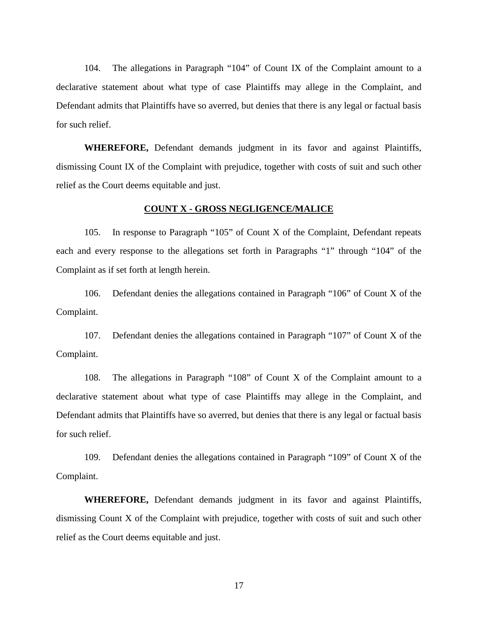104. The allegations in Paragraph "104" of Count IX of the Complaint amount to a declarative statement about what type of case Plaintiffs may allege in the Complaint, and Defendant admits that Plaintiffs have so averred, but denies that there is any legal or factual basis for such relief.

**WHEREFORE,** Defendant demands judgment in its favor and against Plaintiffs, dismissing Count IX of the Complaint with prejudice, together with costs of suit and such other relief as the Court deems equitable and just.

#### **COUNT X - GROSS NEGLIGENCE/MALICE**

105. In response to Paragraph "105" of Count X of the Complaint, Defendant repeats each and every response to the allegations set forth in Paragraphs "1" through "104" of the Complaint as if set forth at length herein.

106. Defendant denies the allegations contained in Paragraph "106" of Count X of the Complaint.

107. Defendant denies the allegations contained in Paragraph "107" of Count X of the Complaint.

108. The allegations in Paragraph "108" of Count X of the Complaint amount to a declarative statement about what type of case Plaintiffs may allege in the Complaint, and Defendant admits that Plaintiffs have so averred, but denies that there is any legal or factual basis for such relief.

109. Defendant denies the allegations contained in Paragraph "109" of Count X of the Complaint.

 **WHEREFORE,** Defendant demands judgment in its favor and against Plaintiffs, dismissing Count X of the Complaint with prejudice, together with costs of suit and such other relief as the Court deems equitable and just.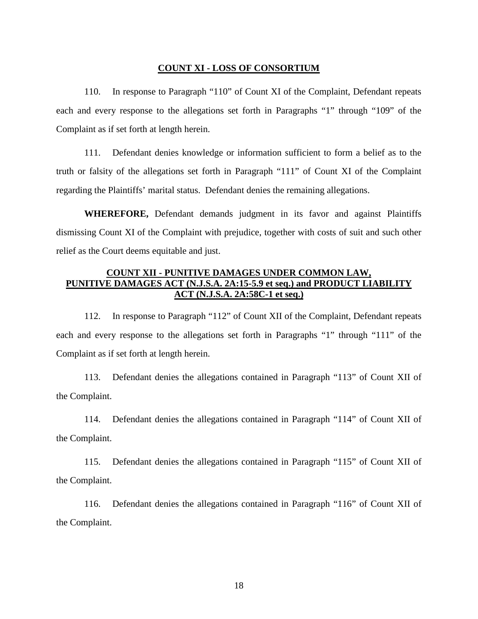### **COUNT XI - LOSS OF CONSORTIUM**

110. In response to Paragraph "110" of Count XI of the Complaint, Defendant repeats each and every response to the allegations set forth in Paragraphs "1" through "109" of the Complaint as if set forth at length herein.

111. Defendant denies knowledge or information sufficient to form a belief as to the truth or falsity of the allegations set forth in Paragraph "111" of Count XI of the Complaint regarding the Plaintiffs' marital status. Defendant denies the remaining allegations.

**WHEREFORE,** Defendant demands judgment in its favor and against Plaintiffs dismissing Count XI of the Complaint with prejudice, together with costs of suit and such other relief as the Court deems equitable and just.

# **COUNT XII - PUNITIVE DAMAGES UNDER COMMON LAW, PUNITIVE DAMAGES ACT (N.J.S.A. 2A:15-5.9 et seq.) and PRODUCT LIABILITY ACT (N.J.S.A. 2A:58C-1 et seq.)**

112. In response to Paragraph "112" of Count XII of the Complaint, Defendant repeats each and every response to the allegations set forth in Paragraphs "1" through "111" of the Complaint as if set forth at length herein.

113. Defendant denies the allegations contained in Paragraph "113" of Count XII of the Complaint.

114. Defendant denies the allegations contained in Paragraph "114" of Count XII of the Complaint.

115. Defendant denies the allegations contained in Paragraph "115" of Count XII of the Complaint.

116. Defendant denies the allegations contained in Paragraph "116" of Count XII of the Complaint.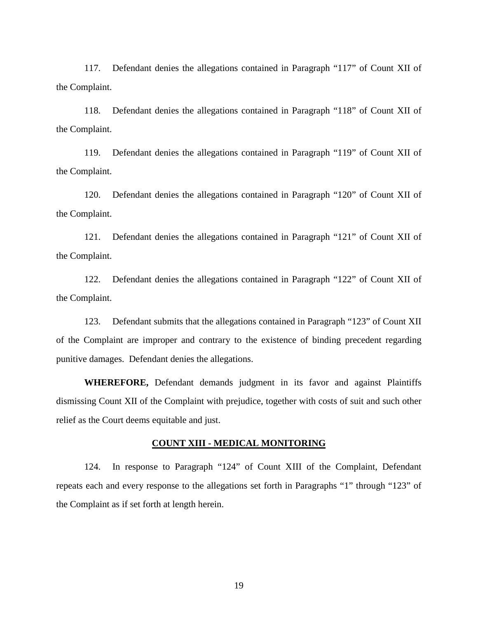117. Defendant denies the allegations contained in Paragraph "117" of Count XII of the Complaint.

118. Defendant denies the allegations contained in Paragraph "118" of Count XII of the Complaint.

119. Defendant denies the allegations contained in Paragraph "119" of Count XII of the Complaint.

120. Defendant denies the allegations contained in Paragraph "120" of Count XII of the Complaint.

121. Defendant denies the allegations contained in Paragraph "121" of Count XII of the Complaint.

122. Defendant denies the allegations contained in Paragraph "122" of Count XII of the Complaint.

123. Defendant submits that the allegations contained in Paragraph "123" of Count XII of the Complaint are improper and contrary to the existence of binding precedent regarding punitive damages. Defendant denies the allegations.

**WHEREFORE,** Defendant demands judgment in its favor and against Plaintiffs dismissing Count XII of the Complaint with prejudice, together with costs of suit and such other relief as the Court deems equitable and just.

## **COUNT XIII - MEDICAL MONITORING**

124. In response to Paragraph "124" of Count XIII of the Complaint, Defendant repeats each and every response to the allegations set forth in Paragraphs "1" through "123" of the Complaint as if set forth at length herein.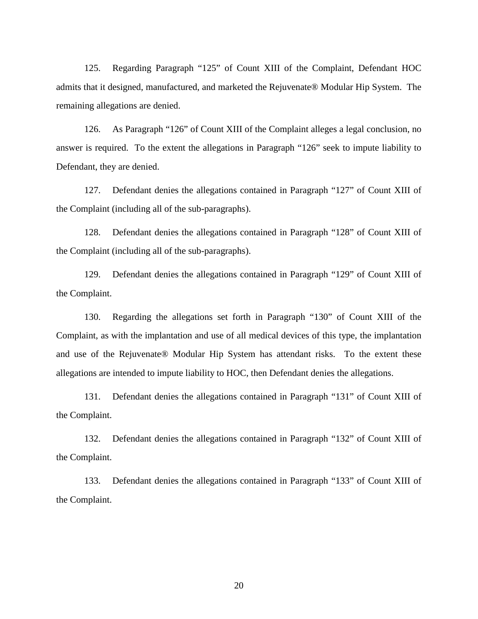125. Regarding Paragraph "125" of Count XIII of the Complaint, Defendant HOC admits that it designed, manufactured, and marketed the Rejuvenate® Modular Hip System. The remaining allegations are denied.

126. As Paragraph "126" of Count XIII of the Complaint alleges a legal conclusion, no answer is required. To the extent the allegations in Paragraph "126" seek to impute liability to Defendant, they are denied.

127. Defendant denies the allegations contained in Paragraph "127" of Count XIII of the Complaint (including all of the sub-paragraphs).

128. Defendant denies the allegations contained in Paragraph "128" of Count XIII of the Complaint (including all of the sub-paragraphs).

129. Defendant denies the allegations contained in Paragraph "129" of Count XIII of the Complaint.

130. Regarding the allegations set forth in Paragraph "130" of Count XIII of the Complaint, as with the implantation and use of all medical devices of this type, the implantation and use of the Rejuvenate® Modular Hip System has attendant risks. To the extent these allegations are intended to impute liability to HOC, then Defendant denies the allegations.

131. Defendant denies the allegations contained in Paragraph "131" of Count XIII of the Complaint.

132. Defendant denies the allegations contained in Paragraph "132" of Count XIII of the Complaint.

133. Defendant denies the allegations contained in Paragraph "133" of Count XIII of the Complaint.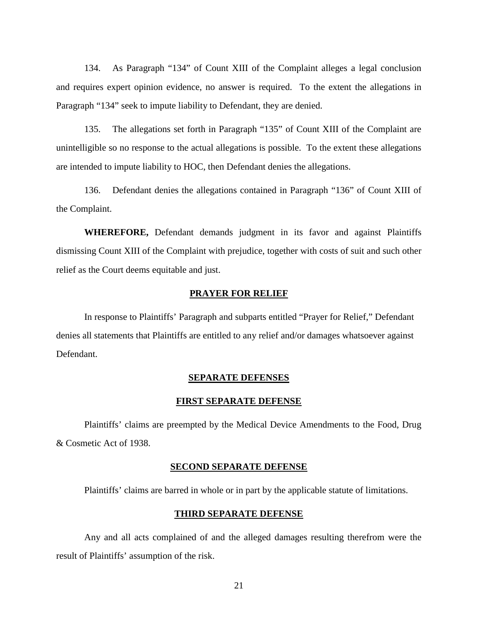134. As Paragraph "134" of Count XIII of the Complaint alleges a legal conclusion and requires expert opinion evidence, no answer is required. To the extent the allegations in Paragraph "134" seek to impute liability to Defendant, they are denied.

135. The allegations set forth in Paragraph "135" of Count XIII of the Complaint are unintelligible so no response to the actual allegations is possible. To the extent these allegations are intended to impute liability to HOC, then Defendant denies the allegations.

136. Defendant denies the allegations contained in Paragraph "136" of Count XIII of the Complaint.

**WHEREFORE,** Defendant demands judgment in its favor and against Plaintiffs dismissing Count XIII of the Complaint with prejudice, together with costs of suit and such other relief as the Court deems equitable and just.

### **PRAYER FOR RELIEF**

 In response to Plaintiffs' Paragraph and subparts entitled "Prayer for Relief," Defendant denies all statements that Plaintiffs are entitled to any relief and/or damages whatsoever against Defendant.

### **SEPARATE DEFENSES**

### **FIRST SEPARATE DEFENSE**

Plaintiffs' claims are preempted by the Medical Device Amendments to the Food, Drug & Cosmetic Act of 1938.

#### **SECOND SEPARATE DEFENSE**

Plaintiffs' claims are barred in whole or in part by the applicable statute of limitations.

### **THIRD SEPARATE DEFENSE**

Any and all acts complained of and the alleged damages resulting therefrom were the result of Plaintiffs' assumption of the risk.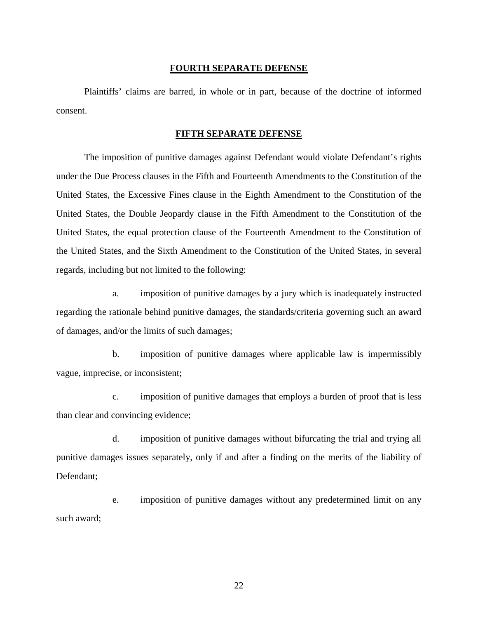### **FOURTH SEPARATE DEFENSE**

 Plaintiffs' claims are barred, in whole or in part, because of the doctrine of informed consent.

### **FIFTH SEPARATE DEFENSE**

The imposition of punitive damages against Defendant would violate Defendant's rights under the Due Process clauses in the Fifth and Fourteenth Amendments to the Constitution of the United States, the Excessive Fines clause in the Eighth Amendment to the Constitution of the United States, the Double Jeopardy clause in the Fifth Amendment to the Constitution of the United States, the equal protection clause of the Fourteenth Amendment to the Constitution of the United States, and the Sixth Amendment to the Constitution of the United States, in several regards, including but not limited to the following:

a. imposition of punitive damages by a jury which is inadequately instructed regarding the rationale behind punitive damages, the standards/criteria governing such an award of damages, and/or the limits of such damages;

b. imposition of punitive damages where applicable law is impermissibly vague, imprecise, or inconsistent;

c. imposition of punitive damages that employs a burden of proof that is less than clear and convincing evidence;

d. imposition of punitive damages without bifurcating the trial and trying all punitive damages issues separately, only if and after a finding on the merits of the liability of Defendant;

e. imposition of punitive damages without any predetermined limit on any such award;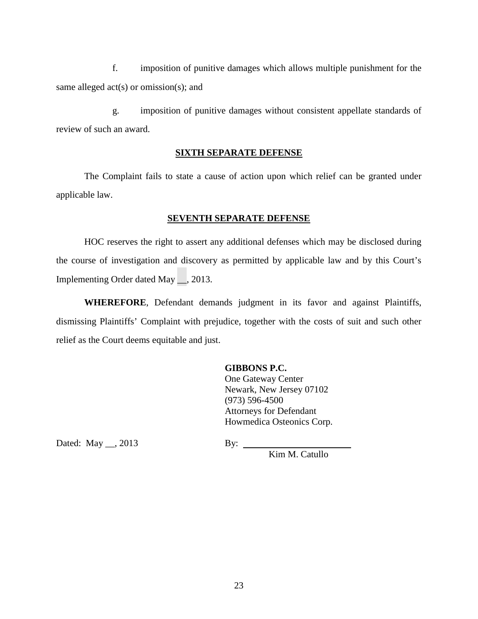f. imposition of punitive damages which allows multiple punishment for the same alleged  $act(s)$  or omission(s); and

 g. imposition of punitive damages without consistent appellate standards of review of such an award.

### **SIXTH SEPARATE DEFENSE**

 The Complaint fails to state a cause of action upon which relief can be granted under applicable law.

### **SEVENTH SEPARATE DEFENSE**

 HOC reserves the right to assert any additional defenses which may be disclosed during the course of investigation and discovery as permitted by applicable law and by this Court's Implementing Order dated May \_\_, 2013.

**WHEREFORE**, Defendant demands judgment in its favor and against Plaintiffs, dismissing Plaintiffs' Complaint with prejudice, together with the costs of suit and such other relief as the Court deems equitable and just.

### **GIBBONS P.C.**

One Gateway Center Newark, New Jersey 07102 (973) 596-4500 Attorneys for Defendant Howmedica Osteonics Corp.

Dated: May \_\_, 2013 By: \_\_\_\_

Kim M. Catullo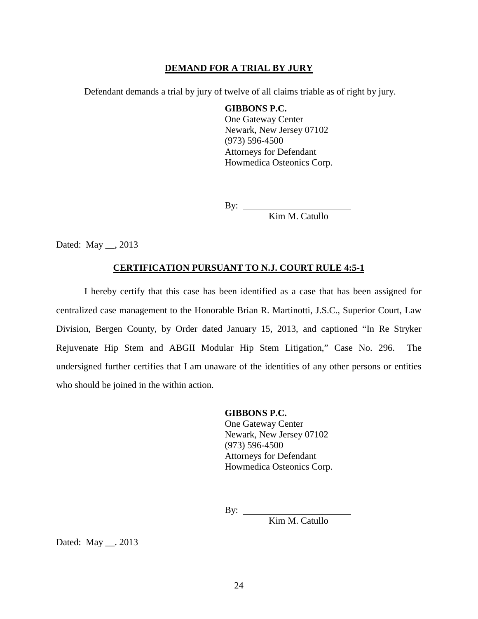### **DEMAND FOR A TRIAL BY JURY**

Defendant demands a trial by jury of twelve of all claims triable as of right by jury.

**GIBBONS P.C.** One Gateway Center Newark, New Jersey 07102 (973) 596-4500 Attorneys for Defendant Howmedica Osteonics Corp.

By:

Kim M. Catullo

Dated: May \_\_, 2013

### **CERTIFICATION PURSUANT TO N.J. COURT RULE 4:5-1**

I hereby certify that this case has been identified as a case that has been assigned for centralized case management to the Honorable Brian R. Martinotti, J.S.C., Superior Court, Law Division, Bergen County, by Order dated January 15, 2013, and captioned "In Re Stryker Rejuvenate Hip Stem and ABGII Modular Hip Stem Litigation," Case No. 296. The undersigned further certifies that I am unaware of the identities of any other persons or entities who should be joined in the within action.

> **GIBBONS P.C.** One Gateway Center Newark, New Jersey 07102 (973) 596-4500 Attorneys for Defendant Howmedica Osteonics Corp.

By:  $\qquad \qquad$ 

Kim M. Catullo

Dated: May . 2013